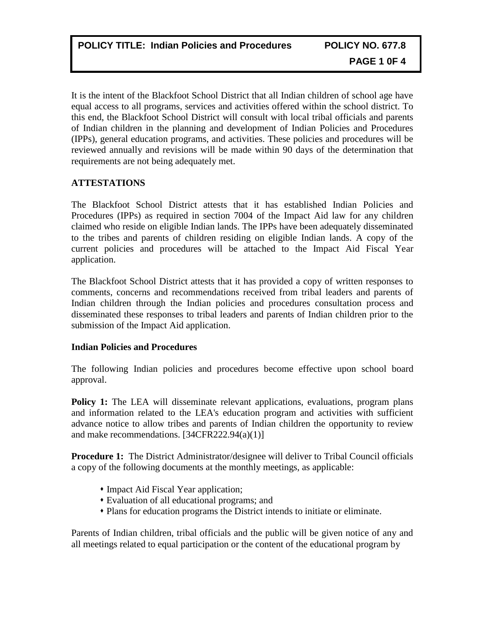It is the intent of the Blackfoot School District that all Indian children of school age have equal access to all programs, services and activities offered within the school district. To this end, the Blackfoot School District will consult with local tribal officials and parents of Indian children in the planning and development of Indian Policies and Procedures (IPPs), general education programs, and activities. These policies and procedures will be reviewed annually and revisions will be made within 90 days of the determination that requirements are not being adequately met.

# **ATTESTATIONS**

The Blackfoot School District attests that it has established Indian Policies and Procedures (IPPs) as required in section 7004 of the Impact Aid law for any children claimed who reside on eligible Indian lands. The IPPs have been adequately disseminated to the tribes and parents of children residing on eligible Indian lands. A copy of the current policies and procedures will be attached to the Impact Aid Fiscal Year application.

The Blackfoot School District attests that it has provided a copy of written responses to comments, concerns and recommendations received from tribal leaders and parents of Indian children through the Indian policies and procedures consultation process and disseminated these responses to tribal leaders and parents of Indian children prior to the submission of the Impact Aid application.

# **Indian Policies and Procedures**

The following Indian policies and procedures become effective upon school board approval.

**Policy 1:** The LEA will disseminate relevant applications, evaluations, program plans and information related to the LEA's education program and activities with sufficient advance notice to allow tribes and parents of Indian children the opportunity to review and make recommendations. [34CFR222.94(a)(1)]

**Procedure 1:** The District Administrator/designee will deliver to Tribal Council officials a copy of the following documents at the monthly meetings, as applicable:

- Impact Aid Fiscal Year application;
- Evaluation of all educational programs; and
- Plans for education programs the District intends to initiate or eliminate.

Parents of Indian children, tribal officials and the public will be given notice of any and all meetings related to equal participation or the content of the educational program by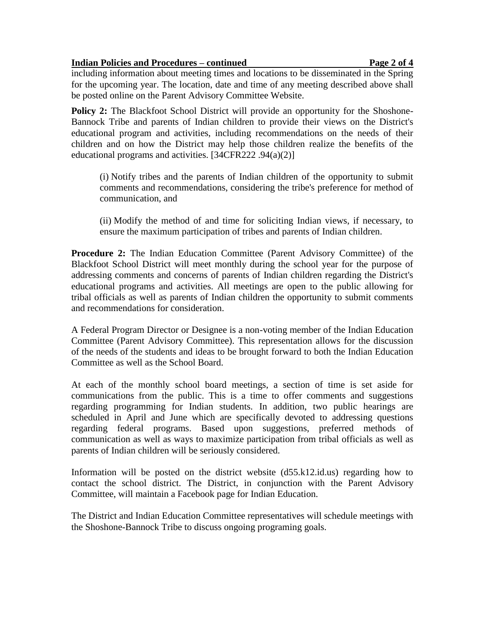## **Indian Policies and Procedures – continued Page 2 of 4**

including information about meeting times and locations to be disseminated in the Spring for the upcoming year. The location, date and time of any meeting described above shall be posted online on the Parent Advisory Committee Website.

**Policy 2:** The Blackfoot School District will provide an opportunity for the Shoshone-Bannock Tribe and parents of Indian children to provide their views on the District's educational program and activities, including recommendations on the needs of their children and on how the District may help those children realize the benefits of the educational programs and activities. [34CFR222 .94(a)(2)]

(i) Notify tribes and the parents of Indian children of the opportunity to submit comments and recommendations, considering the tribe's preference for method of communication, and

(ii) Modify the method of and time for soliciting Indian views, if necessary, to ensure the maximum participation of tribes and parents of Indian children.

**Procedure 2:** The Indian Education Committee (Parent Advisory Committee) of the Blackfoot School District will meet monthly during the school year for the purpose of addressing comments and concerns of parents of Indian children regarding the District's educational programs and activities. All meetings are open to the public allowing for tribal officials as well as parents of Indian children the opportunity to submit comments and recommendations for consideration.

A Federal Program Director or Designee is a non-voting member of the Indian Education Committee (Parent Advisory Committee). This representation allows for the discussion of the needs of the students and ideas to be brought forward to both the Indian Education Committee as well as the School Board.

At each of the monthly school board meetings, a section of time is set aside for communications from the public. This is a time to offer comments and suggestions regarding programming for Indian students. In addition, two public hearings are scheduled in April and June which are specifically devoted to addressing questions regarding federal programs. Based upon suggestions, preferred methods of communication as well as ways to maximize participation from tribal officials as well as parents of Indian children will be seriously considered.

Information will be posted on the district website  $(d55.k12.id.us)$  regarding how to contact the school district. The District, in conjunction with the Parent Advisory Committee, will maintain a Facebook page for Indian Education.

The District and Indian Education Committee representatives will schedule meetings with the Shoshone-Bannock Tribe to discuss ongoing programing goals.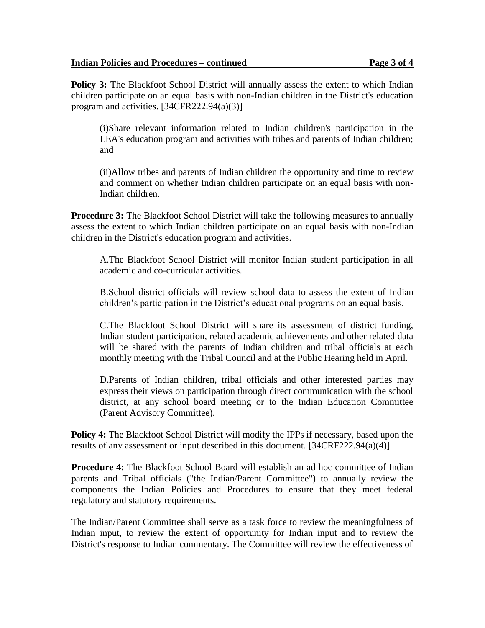## **Indian Policies and Procedures – continued Page 3 of 4**

**Policy 3:** The Blackfoot School District will annually assess the extent to which Indian children participate on an equal basis with non-Indian children in the District's education program and activities. [34CFR222.94(a)(3)]

(i)Share relevant information related to Indian children's participation in the LEA's education program and activities with tribes and parents of Indian children; and

(ii)Allow tribes and parents of Indian children the opportunity and time to review and comment on whether Indian children participate on an equal basis with non-Indian children.

**Procedure 3:** The Blackfoot School District will take the following measures to annually assess the extent to which Indian children participate on an equal basis with non-Indian children in the District's education program and activities.

A.The Blackfoot School District will monitor Indian student participation in all academic and co-curricular activities.

B.School district officials will review school data to assess the extent of Indian children's participation in the District's educational programs on an equal basis.

C.The Blackfoot School District will share its assessment of district funding, Indian student participation, related academic achievements and other related data will be shared with the parents of Indian children and tribal officials at each monthly meeting with the Tribal Council and at the Public Hearing held in April.

D.Parents of Indian children, tribal officials and other interested parties may express their views on participation through direct communication with the school district, at any school board meeting or to the Indian Education Committee (Parent Advisory Committee).

**Policy 4:** The Blackfoot School District will modify the IPPs if necessary, based upon the results of any assessment or input described in this document. [34CRF222.94(a)(4)]

**Procedure 4:** The Blackfoot School Board will establish an ad hoc committee of Indian parents and Tribal officials ("the Indian/Parent Committee") to annually review the components the Indian Policies and Procedures to ensure that they meet federal regulatory and statutory requirements.

The Indian/Parent Committee shall serve as a task force to review the meaningfulness of Indian input, to review the extent of opportunity for Indian input and to review the District's response to Indian commentary. The Committee will review the effectiveness of